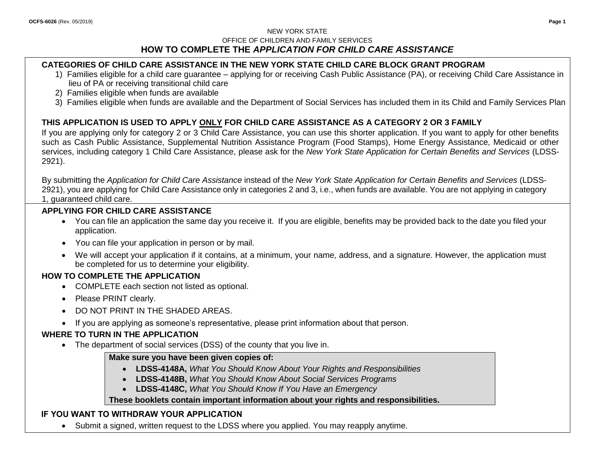## NEW YORK STATE OFFICE OF CHILDREN AND FAMILY SERVICES **HOW TO COMPLETE THE** *APPLICATION FOR CHILD CARE ASSISTANCE*

# **CATEGORIES OF CHILD CARE ASSISTANCE IN THE NEW YORK STATE CHILD CARE BLOCK GRANT PROGRAM**

- 1) Families eligible for a child care guarantee applying for or receiving Cash Public Assistance (PA), or receiving Child Care Assistance in lieu of PA or receiving transitional child care
- 2) Families eligible when funds are available
- 3) Families eligible when funds are available and the Department of Social Services has included them in its Child and Family Services Plan

# **THIS APPLICATION IS USED TO APPLY ONLY FOR CHILD CARE ASSISTANCE AS A CATEGORY 2 OR 3 FAMILY**

If you are applying only for category 2 or 3 Child Care Assistance, you can use this shorter application. If you want to apply for other benefits such as Cash Public Assistance, Supplemental Nutrition Assistance Program (Food Stamps), Home Energy Assistance, Medicaid or other services, including category 1 Child Care Assistance, please ask for the *New York State Application for Certain Benefits and Services* (LDSS-2921).

By submitting the *Application for Child Care Assistance* instead of the *New York State Application for Certain Benefits and Services* (LDSS-2921), you are applying for Child Care Assistance only in categories 2 and 3, i.e., when funds are available. You are not applying in category 1, guaranteed child care.

# **APPLYING FOR CHILD CARE ASSISTANCE**

- You can file an application the same day you receive it. If you are eligible, benefits may be provided back to the date you filed your application.
- You can file your application in person or by mail.
- We will accept your application if it contains, at a minimum, your name, address, and a signature. However, the application must be completed for us to determine your eligibility.

# **HOW TO COMPLETE THE APPLICATION**

- COMPLETE each section not listed as optional.
- Please PRINT clearly.
- DO NOT PRINT IN THE SHADED AREAS.
- If you are applying as someone's representative, please print information about that person.

# **WHERE TO TURN IN THE APPLICATION**

• The department of social services (DSS) of the county that you live in.

## **Make sure you have been given copies of:**

- **LDSS-4148A,** *What You Should Know About Your Rights and Responsibilities*
- **LDSS-4148B,** *What You Should Know About Social Services Programs*
- **LDSS-4148C,** *What You Should Know If You Have an Emergency*

# **These booklets contain important information about your rights and responsibilities.**

# **IF YOU WANT TO WITHDRAW YOUR APPLICATION**

• Submit a signed, written request to the LDSS where you applied. You may reapply anytime.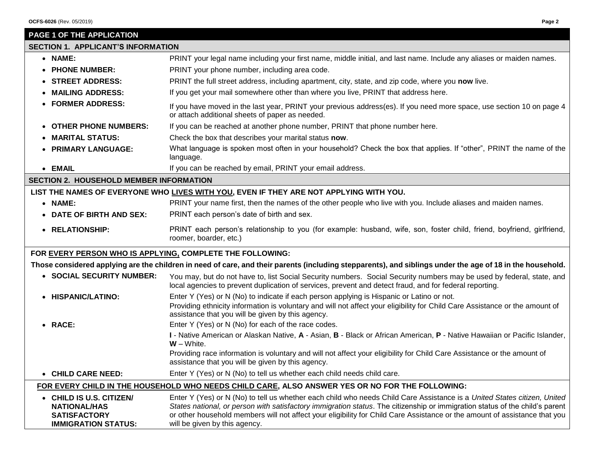| PAGE 1 OF THE APPLICATION                                                                                                                                 |                                                                                                                                                                                                                                                                                                                                                                                                                         |  |  |  |
|-----------------------------------------------------------------------------------------------------------------------------------------------------------|-------------------------------------------------------------------------------------------------------------------------------------------------------------------------------------------------------------------------------------------------------------------------------------------------------------------------------------------------------------------------------------------------------------------------|--|--|--|
| <b>SECTION 1. APPLICANT'S INFORMATION</b>                                                                                                                 |                                                                                                                                                                                                                                                                                                                                                                                                                         |  |  |  |
| • NAME:                                                                                                                                                   | PRINT your legal name including your first name, middle initial, and last name. Include any aliases or maiden names.                                                                                                                                                                                                                                                                                                    |  |  |  |
| • PHONE NUMBER:                                                                                                                                           | PRINT your phone number, including area code.                                                                                                                                                                                                                                                                                                                                                                           |  |  |  |
| • STREET ADDRESS:                                                                                                                                         | PRINT the full street address, including apartment, city, state, and zip code, where you now live.                                                                                                                                                                                                                                                                                                                      |  |  |  |
| • MAILING ADDRESS:                                                                                                                                        | If you get your mail somewhere other than where you live, PRINT that address here.                                                                                                                                                                                                                                                                                                                                      |  |  |  |
| • FORMER ADDRESS:                                                                                                                                         | If you have moved in the last year, PRINT your previous address(es). If you need more space, use section 10 on page 4<br>or attach additional sheets of paper as needed.                                                                                                                                                                                                                                                |  |  |  |
| • OTHER PHONE NUMBERS:                                                                                                                                    | If you can be reached at another phone number, PRINT that phone number here.                                                                                                                                                                                                                                                                                                                                            |  |  |  |
| • MARITAL STATUS:                                                                                                                                         | Check the box that describes your marital status now.                                                                                                                                                                                                                                                                                                                                                                   |  |  |  |
| • PRIMARY LANGUAGE:                                                                                                                                       | What language is spoken most often in your household? Check the box that applies. If "other", PRINT the name of the<br>language.                                                                                                                                                                                                                                                                                        |  |  |  |
| • EMAIL                                                                                                                                                   | If you can be reached by email, PRINT your email address.                                                                                                                                                                                                                                                                                                                                                               |  |  |  |
| <b>SECTION 2. HOUSEHOLD MEMBER INFORMATION</b>                                                                                                            |                                                                                                                                                                                                                                                                                                                                                                                                                         |  |  |  |
|                                                                                                                                                           | LIST THE NAMES OF EVERYONE WHO LIVES WITH YOU, EVEN IF THEY ARE NOT APPLYING WITH YOU.                                                                                                                                                                                                                                                                                                                                  |  |  |  |
| • NAME:                                                                                                                                                   | PRINT your name first, then the names of the other people who live with you. Include aliases and maiden names.                                                                                                                                                                                                                                                                                                          |  |  |  |
| • DATE OF BIRTH AND SEX:                                                                                                                                  | PRINT each person's date of birth and sex.                                                                                                                                                                                                                                                                                                                                                                              |  |  |  |
| • RELATIONSHIP:                                                                                                                                           | PRINT each person's relationship to you (for example: husband, wife, son, foster child, friend, boyfriend, girlfriend,<br>roomer, boarder, etc.)                                                                                                                                                                                                                                                                        |  |  |  |
| FOR EVERY PERSON WHO IS APPLYING, COMPLETE THE FOLLOWING:                                                                                                 |                                                                                                                                                                                                                                                                                                                                                                                                                         |  |  |  |
| Those considered applying are the children in need of care, and their parents (including stepparents), and siblings under the age of 18 in the household. |                                                                                                                                                                                                                                                                                                                                                                                                                         |  |  |  |
| • SOCIAL SECURITY NUMBER:                                                                                                                                 | You may, but do not have to, list Social Security numbers. Social Security numbers may be used by federal, state, and<br>local agencies to prevent duplication of services, prevent and detect fraud, and for federal reporting.                                                                                                                                                                                        |  |  |  |
| • HISPANIC/LATINO:                                                                                                                                        | Enter Y (Yes) or N (No) to indicate if each person applying is Hispanic or Latino or not.<br>Providing ethnicity information is voluntary and will not affect your eligibility for Child Care Assistance or the amount of<br>assistance that you will be given by this agency.                                                                                                                                          |  |  |  |
| • RACE:                                                                                                                                                   | Enter Y (Yes) or N (No) for each of the race codes.                                                                                                                                                                                                                                                                                                                                                                     |  |  |  |
|                                                                                                                                                           | I - Native American or Alaskan Native, A - Asian, B - Black or African American, P - Native Hawaiian or Pacific Islander,<br>$W - White.$                                                                                                                                                                                                                                                                               |  |  |  |
|                                                                                                                                                           | Providing race information is voluntary and will not affect your eligibility for Child Care Assistance or the amount of<br>assistance that you will be given by this agency.                                                                                                                                                                                                                                            |  |  |  |
| • CHILD CARE NEED:                                                                                                                                        | Enter Y (Yes) or N (No) to tell us whether each child needs child care.                                                                                                                                                                                                                                                                                                                                                 |  |  |  |
| FOR EVERY CHILD IN THE HOUSEHOLD WHO NEEDS CHILD CARE, ALSO ANSWER YES OR NO FOR THE FOLLOWING:                                                           |                                                                                                                                                                                                                                                                                                                                                                                                                         |  |  |  |
| • CHILD IS U.S. CITIZEN/<br><b>NATIONAL/HAS</b><br><b>SATISFACTORY</b><br><b>IMMIGRATION STATUS:</b>                                                      | Enter Y (Yes) or N (No) to tell us whether each child who needs Child Care Assistance is a United States citizen, United<br>States national, or person with satisfactory immigration status. The citizenship or immigration status of the child's parent<br>or other household members will not affect your eligibility for Child Care Assistance or the amount of assistance that you<br>will be given by this agency. |  |  |  |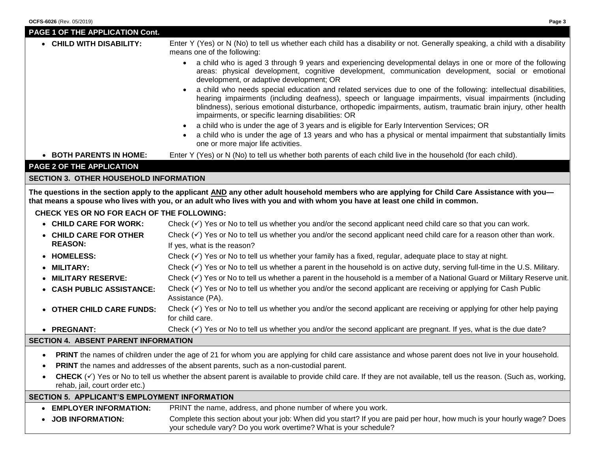| OCFS-6026 (Rev. 05/2019)                                                                                                                                                                                                                                                                               | Page 3                                                                                                                                                                                                                                                                                                                                                                                               |  |
|--------------------------------------------------------------------------------------------------------------------------------------------------------------------------------------------------------------------------------------------------------------------------------------------------------|------------------------------------------------------------------------------------------------------------------------------------------------------------------------------------------------------------------------------------------------------------------------------------------------------------------------------------------------------------------------------------------------------|--|
| <b>PAGE 1 OF THE APPLICATION Cont.</b>                                                                                                                                                                                                                                                                 |                                                                                                                                                                                                                                                                                                                                                                                                      |  |
| • CHILD WITH DISABILITY:                                                                                                                                                                                                                                                                               | Enter Y (Yes) or N (No) to tell us whether each child has a disability or not. Generally speaking, a child with a disability<br>means one of the following:                                                                                                                                                                                                                                          |  |
|                                                                                                                                                                                                                                                                                                        | a child who is aged 3 through 9 years and experiencing developmental delays in one or more of the following<br>areas: physical development, cognitive development, communication development, social or emotional<br>development, or adaptive development; OR                                                                                                                                        |  |
|                                                                                                                                                                                                                                                                                                        | a child who needs special education and related services due to one of the following: intellectual disabilities,<br>hearing impairments (including deafness), speech or language impairments, visual impairments (including<br>blindness), serious emotional disturbance, orthopedic impairments, autism, traumatic brain injury, other health<br>impairments, or specific learning disabilities: OR |  |
|                                                                                                                                                                                                                                                                                                        | a child who is under the age of 3 years and is eligible for Early Intervention Services; OR                                                                                                                                                                                                                                                                                                          |  |
|                                                                                                                                                                                                                                                                                                        | a child who is under the age of 13 years and who has a physical or mental impairment that substantially limits<br>one or more major life activities.                                                                                                                                                                                                                                                 |  |
| $\bullet$ BOTH PARENTS IN HOME:                                                                                                                                                                                                                                                                        | Enter Y (Yes) or N (No) to tell us whether both parents of each child live in the household (for each child).                                                                                                                                                                                                                                                                                        |  |
| <b>PAGE 2 OF THE APPLICATION</b>                                                                                                                                                                                                                                                                       |                                                                                                                                                                                                                                                                                                                                                                                                      |  |
| SECTION 3. OTHER HOUSEHOLD INFORMATION                                                                                                                                                                                                                                                                 |                                                                                                                                                                                                                                                                                                                                                                                                      |  |
| The questions in the section apply to the applicant <u>AND</u> any other adult household members who are applying for Child Care Assistance with you—<br>that means a spouse who lives with you, or an adult who lives with you and with whom you have at least one child in common.                   |                                                                                                                                                                                                                                                                                                                                                                                                      |  |
| <b>CHECK YES OR NO FOR EACH OF THE FOLLOWING:</b><br>$\bullet$ , and $\bullet$ , and $\bullet$ , and $\bullet$ , and a set of the set of the set of the set of the set of the set of the set of the set of the set of the set of the set of the set of the set of the set of the set of the set of the |                                                                                                                                                                                                                                                                                                                                                                                                      |  |

| $\sim$ TIALI 4 ABAFLIT BABFL |                           |                                                                                                                                                     |
|------------------------------|---------------------------|-----------------------------------------------------------------------------------------------------------------------------------------------------|
|                              | • PREGNANT:               | Check $(\check{v})$ Yes or No to tell us whether you and/or the second applicant are pregnant. If yes, what is the due date?                        |
|                              | • OTHER CHILD CARE FUNDS: | Check $(\check{y})$ Yes or No to tell us whether you and/or the second applicant are receiving or applying for other help paying<br>for child care. |
|                              | • CASH PUBLIC ASSISTANCE: | Check $(\check{v})$ Yes or No to tell us whether you and/or the second applicant are receiving or applying for Cash Public<br>Assistance (PA).      |
|                              | • MILITARY RESERVE:       | Check $(\check{v})$ Yes or No to tell us whether a parent in the household is a member of a National Guard or Military Reserve unit.                |
|                              | $\bullet$ MILITARY:       | Check $(\check{v})$ Yes or No to tell us whether a parent in the household is on active duty, serving full-time in the U.S. Military.               |
|                              | • HOMELESS:               | Check $(\checkmark)$ Yes or No to tell us whether your family has a fixed, regular, adequate place to stay at night.                                |
|                              | <b>REASON:</b>            | If yes, what is the reason?                                                                                                                         |
|                              | • CHILD CARE FOR OTHER    | Check $(\checkmark)$ Yes or No to tell us whether you and/or the second applicant need child care for a reason other than work.                     |
|                              | • CHILD CARE FOR WORK:    | Check $(\check{v})$ Yes or No to tell us whether you and/or the second applicant need child care so that you can work.                              |

## **SECTION 4. ABSENT PARENT INFORMATION**

- **PRINT** the names of children under the age of 21 for whom you are applying for child care assistance and whose parent does not live in your household.
- **PRINT** the names and addresses of the absent parents, such as a non-custodial parent.
- CHECK (√) Yes or No to tell us whether the absent parent is available to provide child care. If they are not available, tell us the reason. (Such as, working, rehab, jail, court order etc.)

## **SECTION 5. APPLICANT'S EMPLOYMENT INFORMATION**

- **EMPLOYER INFORMATION:** PRINT the name, address, and phone number of where you work.
- **JOB INFORMATION:** Complete this section about your job: When did you start? If you are paid per hour, how much is your hourly wage? Does your schedule vary? Do you work overtime? What is your schedule?